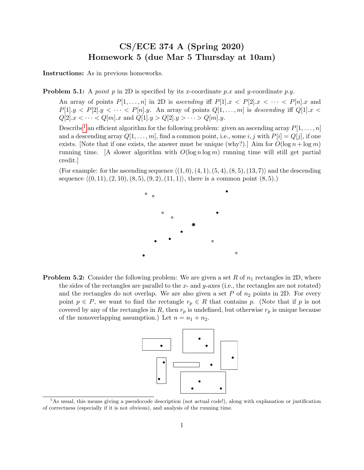## CS/ECE 374 A (Spring 2020) Homework 5 (due Mar 5 Thursday at 10am)

Instructions: As in previous homeworks.

**Problem 5.1:** A *point* p in 2D is specified by its x-coordinate p.x and y-coordinate p.y.

An array of points  $P[1, \ldots, n]$  in 2D is ascending iff  $P[1] \text{.} x \lt P[2] \text{.} x \lt \cdots \lt P[n] \text{.} x$  and  $P[1] \text{ and } P[2] \text{ and } P[3] \text{ and } P[4] \text{ and } P[5] \text{ and } P[6] \text{ and } P[7] \text{ and } P[8] \text{ and } P[9] \text{ and } P[9] \text{ and } P[9] \text{ and } P[9] \text{ and } P[9] \text{ and } P[9] \text{ and } P[9] \text{ and } P[9] \text{ and } P[9] \text{ and } P[9] \text{ and } P[9] \text{ and } P[9] \text{ and } P[9] \text{ and } P[9] \text{ and } P[9] \text{ and } P[9] \text{ and } P[9]$  $Q[2]$ . $x < \cdots < Q[m]$ . $x$  and  $Q[1]$ . $y > Q[2]$ . $y > \cdots > Q[m]$ . $y$ .

Describe<sup>[1](#page-0-0)</sup> an efficient algorithm for the following problem: given an ascending array  $P[1, \ldots, n]$ and a descending array  $Q[1, \ldots, m]$ , find a common point, i.e., some i, j with  $P[i] = Q[j]$ , if one exists. [Note that if one exists, the answer must be unique (why?).] Aim for  $O(\log n + \log m)$ running time. [A slower algorithm with  $O(\log n \log m)$  running time will still get partial credit.]

(For example: for the ascending sequence  $\langle (1, 0), (4, 1), (5, 4), (8, 5), (13, 7) \rangle$  and the descending sequence  $\langle (0, 11), (2, 10), (8, 5), (9, 2), (11, 1)\rangle$ , there is a common point  $(8, 5).$ 



**Problem 5.2:** Consider the following problem: We are given a set R of  $n_1$  rectangles in 2D, where the sides of the rectangles are parallel to the x- and y-axes (i.e., the rectangles are not rotated) and the rectangles do not overlap. We are also given a set  $P$  of  $n_2$  points in 2D. For every point  $p \in P$ , we want to find the rectangle  $r_p \in R$  that contains p. (Note that if p is not covered by any of the rectangles in  $R$ , then  $r_p$  is undefined, but otherwise  $r_p$  is unique because of the nonoverlapping assumption.) Let  $n = n_1 + n_2$ .



<span id="page-0-0"></span><sup>&</sup>lt;sup>1</sup>As usual, this means giving a pseudocode description (not actual code!), along with explanation or justification of correctness (especially if it is not obvious), and analysis of the running time.